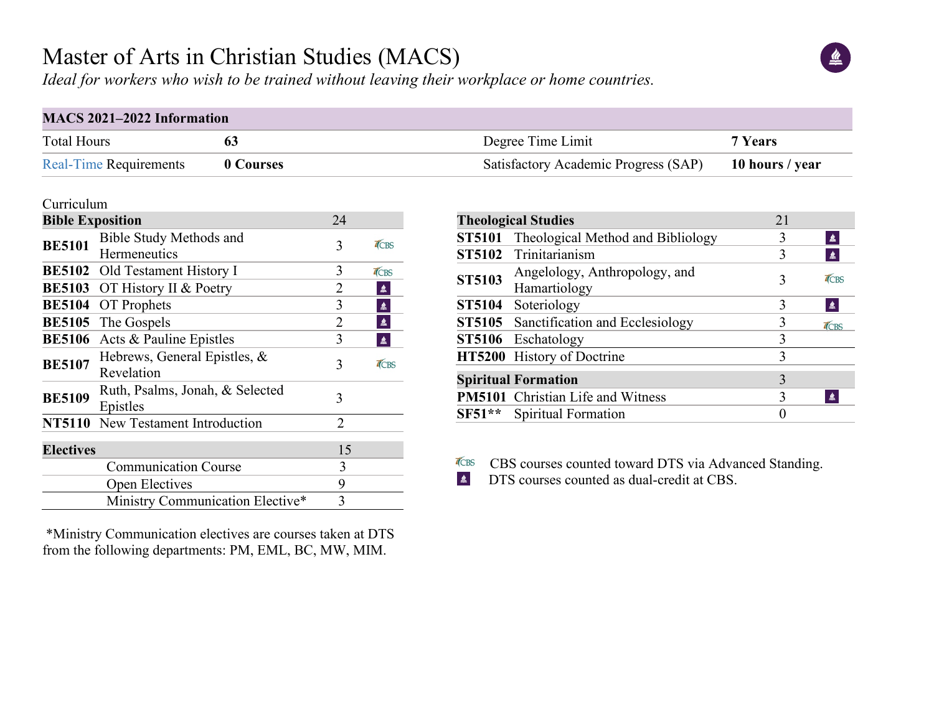## Master of Arts in Christian Studies (MACS)

*Ideal for workers who wish to be trained without leaving their workplace or home countries.*

| MACS 2021-2022 Information    |           |                                      |                 |  |  |  |  |
|-------------------------------|-----------|--------------------------------------|-----------------|--|--|--|--|
| <b>Total Hours</b>            |           | Degree Time Limit                    | 7 Years         |  |  |  |  |
| <b>Real-Time Requirements</b> | 0 Courses | Satisfactory Academic Progress (SAP) | 10 hours / year |  |  |  |  |

#### Curriculum

| <b>Bible Exposition</b> | 24                                             |    |      |
|-------------------------|------------------------------------------------|----|------|
| <b>BE5101</b>           | <b>Bible Study Methods and</b><br>Hermeneutics | 3  | TCBS |
|                         | <b>BE5102</b> Old Testament History I          | 3  | TCBS |
| <b>BE5103</b>           | OT History II & Poetry                         | 2  | 鱼    |
| <b>BE5104</b>           | <b>OT</b> Prophets                             | 3  | 鱼    |
| <b>BE5105</b>           | The Gospels                                    | 2  | 鱼    |
| <b>BE5106</b>           | Acts & Pauline Epistles                        | 3  | ≝    |
| <b>BE5107</b>           | Hebrews, General Epistles, &<br>Revelation     | 3  | TCBS |
| <b>BE5109</b>           | Ruth, Psalms, Jonah, & Selected<br>Epistles    | 3  |      |
|                         | NT5110 New Testament Introduction              | 2  |      |
| <b>Electives</b>        |                                                | 15 |      |
|                         | <b>Communication Course</b>                    | 3  |      |
|                         | Open Electives                                 | 9  |      |
|                         | Ministry Communication Elective*               | 3  |      |

\*Ministry Communication electives are courses taken at DTS from the following departments: PM, EML, BC, MW, MIM.

|               | <b>Theological Studies</b>                    | 21                |  |
|---------------|-----------------------------------------------|-------------------|--|
| <b>ST5101</b> | Theological Method and Bibliology             | 3<br>鱼            |  |
|               | ST5102 Trinitarianism                         | 3<br>$\triangleq$ |  |
| <b>ST5103</b> | Angelology, Anthropology, and<br>Hamartiology | TCBS<br>3         |  |
|               | ST5104 Soteriology                            | 鱼<br>3            |  |
|               | ST5105 Sanctification and Ecclesiology        | TCBS              |  |
|               | ST5106 Eschatology                            | 3                 |  |
|               | HT5200 History of Doctrine                    | 3                 |  |
|               | <b>Spiritual Formation</b>                    | 3                 |  |
|               | <b>PM5101</b> Christian Life and Witness      | 3<br>鱼            |  |
| $SF51**$      | <b>Spiritual Formation</b>                    |                   |  |
|               |                                               |                   |  |

TCBS CBS courses counted toward DTS via Advanced Standing.<br>  $\triangle$  DTS courses counted as dual-credit at CBS. DTS courses counted as dual-credit at CBS.

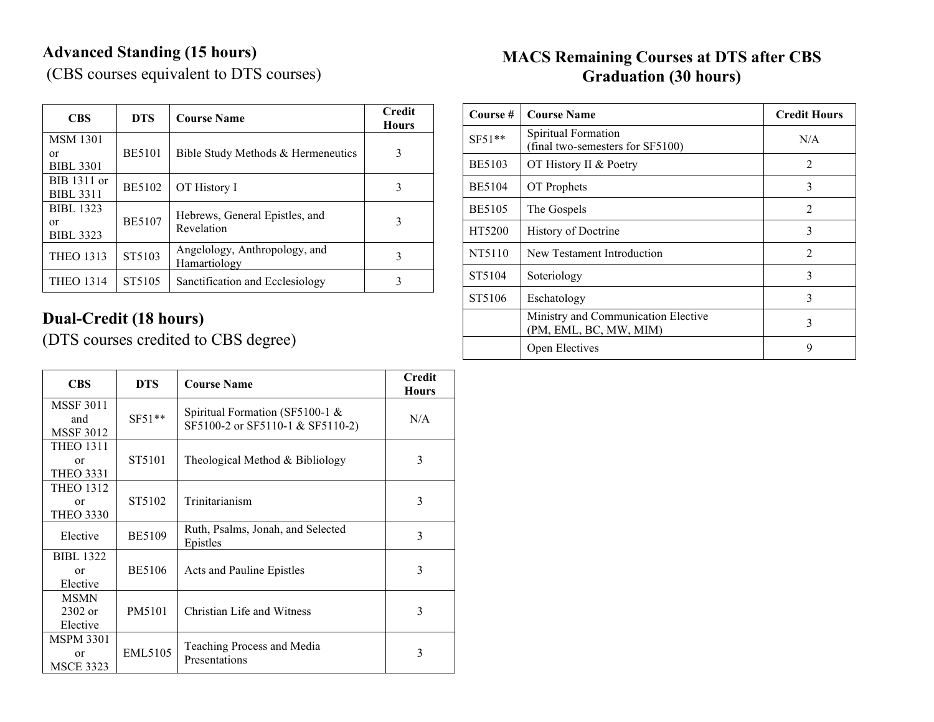### **Advanced Standing (15 hours)**

(CBS courses equivalent to DTS courses)

| <b>CBS</b>                                 | <b>DTS</b>    | <b>Course Name</b>                            | <b>Credit</b><br><b>Hours</b> |
|--------------------------------------------|---------------|-----------------------------------------------|-------------------------------|
| <b>MSM 1301</b><br>or<br><b>BIBL 3301</b>  | <b>BE5101</b> | Bible Study Methods & Hermeneutics            | 3                             |
| BIB 1311 or<br><b>BIBL 3311</b>            | <b>BE5102</b> | OT History I                                  | 3                             |
| <b>BIBL 1323</b><br>or<br><b>BIBL 3323</b> | <b>BE5107</b> | Hebrews, General Epistles, and<br>Revelation  | 3                             |
| <b>THEO 1313</b>                           | ST5103        | Angelology, Anthropology, and<br>Hamartiology | 3                             |
| <b>THEO 1314</b>                           | ST5105        | Sanctification and Ecclesiology               | 3                             |

#### **Dual-Credit (18 hours)**

(DTS courses credited to CBS degree)

| <b>CBS</b>                                  | <b>DTS</b>    | <b>Course Name</b>                                                     | <b>Credit</b><br><b>Hours</b> |
|---------------------------------------------|---------------|------------------------------------------------------------------------|-------------------------------|
| <b>MSSF 3011</b><br>and<br><b>MSSF 3012</b> | $SF51**$      | Spiritual Formation (SF5100-1 $\&$<br>SF5100-2 or SF5110-1 & SF5110-2) | N/A                           |
| <b>THEO 1311</b><br>or<br><b>THEO 3331</b>  | ST5101        | Theological Method & Bibliology                                        | 3                             |
| <b>THEO 1312</b><br>or<br><b>THEO 3330</b>  | ST5102        | Trinitarianism                                                         | 3                             |
| Elective                                    | <b>BE5109</b> | Ruth, Psalms, Jonah, and Selected<br>Epistles                          | 3                             |
| <b>BIBL 1322</b><br>$\alpha$ r<br>Elective  | <b>BE5106</b> | Acts and Pauline Epistles                                              | 3                             |
| <b>MSMN</b><br>$2302$ or<br>Elective        | PM5101        | Christian Life and Witness                                             | 3                             |
| <b>MSPM 3301</b><br>or<br><b>MSCE 3323</b>  | EML5105       | Teaching Process and Media<br>Presentations                            | 3                             |

#### **MACS Remaining Courses at DTS after CBS Graduation (30 hours)**

| Course #      | <b>Course Name</b>                                            | <b>Credit Hours</b>           |
|---------------|---------------------------------------------------------------|-------------------------------|
| $SF51**$      | Spiritual Formation<br>(final two-semesters for SF5100)       | N/A                           |
| <b>BE5103</b> | OT History II & Poetry                                        | $\mathfrak{D}_{\mathfrak{p}}$ |
| <b>BE5104</b> | OT Prophets                                                   | 3                             |
| <b>BE5105</b> | The Gospels                                                   | $\overline{2}$                |
| HT5200        | History of Doctrine                                           | 3                             |
| NT5110        | New Testament Introduction                                    | $\mathfrak{D}$                |
| ST5104        | Soteriology                                                   | 3                             |
| ST5106        | Eschatology                                                   | 3                             |
|               | Ministry and Communication Elective<br>(PM, EML, BC, MW, MIM) | 3                             |
|               | Open Electives                                                | 9                             |